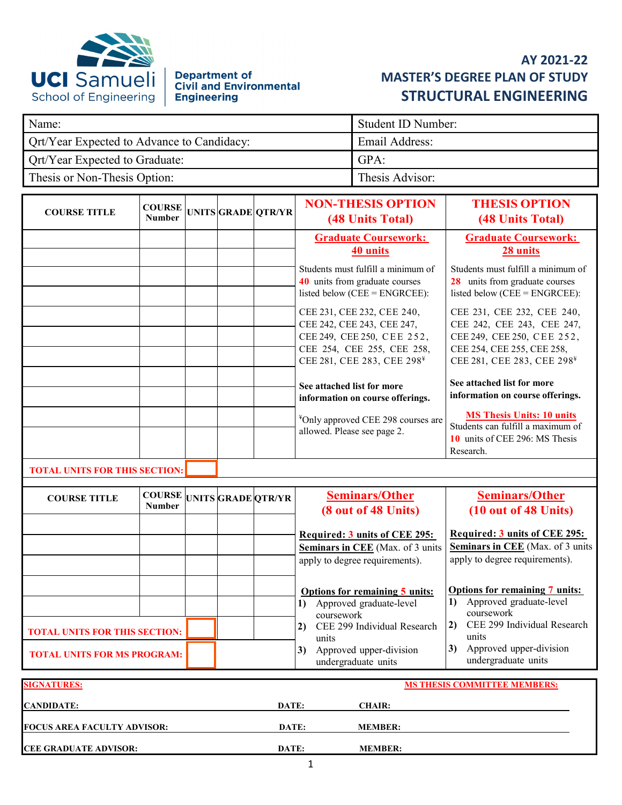

# Department of<br>Civil and Environmental **Engineering**

# **AY 2021-22 MASTER'S DEGREE PLAN OF STUDY STRUCTURAL ENGINEERING**

| Name:                                             | Student ID Number: |
|---------------------------------------------------|--------------------|
| <b>Qrt/Year Expected to Advance to Candidacy:</b> | Email Address:     |
| <b>Qrt/Year Expected to Graduate:</b>             | GPA:               |
| Thesis or Non-Thesis Option:                      | Thesis Advisor:    |

| <b>COURSE TITLE</b>      | <b>COURSE</b><br><b>Number</b> |  | UNITSGRADE OTR/YR | <b>NON-THESIS OPTION</b><br>(48 Units Total)                                                                                                                   | <b>THESIS OPTION</b><br><b>(48 Units Total)</b>                                                                                                                |
|--------------------------|--------------------------------|--|-------------------|----------------------------------------------------------------------------------------------------------------------------------------------------------------|----------------------------------------------------------------------------------------------------------------------------------------------------------------|
|                          |                                |  |                   | <b>Graduate Coursework:</b><br>40 units                                                                                                                        | <b>Graduate Coursework:</b><br>28 units                                                                                                                        |
|                          |                                |  |                   | Students must fulfill a minimum of<br>40 units from graduate courses<br>listed below ( $CEE = ENGRCEE$ ):                                                      | Students must fulfill a minimum of<br>28 units from graduate courses<br>listed below ( $CEE = ENGRCEE$ ):                                                      |
|                          |                                |  |                   | CEE 231, CEE 232, CEE 240,<br>CEE 242, CEE 243, CEE 247,<br>CEE 249, CEE 250, CEE 252,<br>CEE 254, CEE 255, CEE 258,<br>CEE 281, CEE 283, CEE 298 <sup>¥</sup> | CEE 231, CEE 232, CEE 240,<br>CEE 242, CEE 243, CEE 247,<br>CEE 249, CEE 250, CEE 252,<br>CEE 254, CEE 255, CEE 258,<br>CEE 281, CEE 283, CEE 298 <sup>¥</sup> |
|                          |                                |  |                   | See attached list for more<br>information on course offerings.                                                                                                 | See attached list for more<br>information on course offerings.                                                                                                 |
|                          |                                |  |                   | <sup>¥</sup> Only approved CEE 298 courses are<br>allowed. Please see page 2.                                                                                  | <b>MS Thesis Units: 10 units</b><br>Students can fulfill a maximum of<br>10 units of CEE 296: MS Thesis<br>Research.                                           |
| <b>BOODLE FRIEDO BOD</b> | <b><i>FUELO OR OBLAS</i></b>   |  |                   |                                                                                                                                                                |                                                                                                                                                                |

#### **TOTAL UNITS FOR THIS SECTION:**

| <b>COURSE TITLE</b>                  | <b>COURSE UNITS GRADE QTR/YR</b><br><b>Number</b> |  | <b>Seminars/Other</b><br>(8 out of 48 Units)                                                               | <b>Seminars/Other</b><br>(10 out of 48 Units)                                                              |
|--------------------------------------|---------------------------------------------------|--|------------------------------------------------------------------------------------------------------------|------------------------------------------------------------------------------------------------------------|
|                                      |                                                   |  | Required: 3 units of CEE 295:<br><b>Seminars in CEE</b> (Max. of 3 units<br>apply to degree requirements). | Required: 3 units of CEE 295:<br><b>Seminars in CEE</b> (Max. of 3 units<br>apply to degree requirements). |
|                                      |                                                   |  | Options for remaining 5 units:<br>Approved graduate-level<br>1)<br>coursework                              | <b>Options for remaining 7 units:</b><br>1) Approved graduate-level<br>coursework                          |
| <b>TOTAL UNITS FOR THIS SECTION:</b> |                                                   |  | CEE 299 Individual Research<br>2)<br>units                                                                 | CEE 299 Individual Research<br>2)<br>units                                                                 |
| <b>TOTAL UNITS FOR MS PROGRAM:</b>   |                                                   |  | Approved upper-division<br>3)<br>undergraduate units                                                       | Approved upper-division<br>3)<br>undergraduate units                                                       |
| <b>SIGNATURES:</b>                   |                                                   |  |                                                                                                            | <b>MS THESIS COMMITTEE MEMBERS:</b>                                                                        |

| <b>CANDIDATE:</b>                  | DATE: | <b>CHAIR:</b>  |
|------------------------------------|-------|----------------|
|                                    |       |                |
| <b>FOCUS AREA FACULTY ADVISOR:</b> | DATE: | <b>MEMBER:</b> |
|                                    |       |                |
| <b>CEE GRADUATE ADVISOR:</b>       | DATE: | <b>MEMBER:</b> |